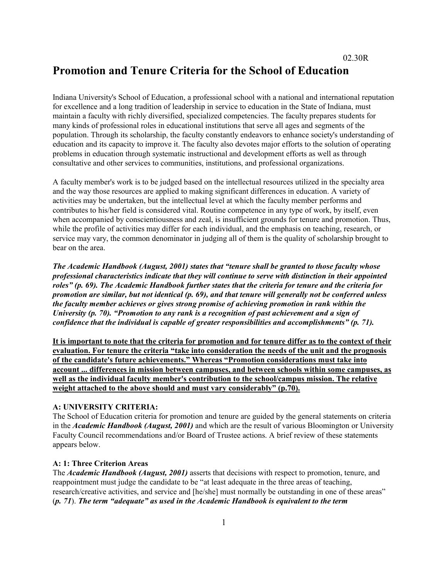# **Promotion and Tenure Criteria for the School of Education**

Indiana University's School of Education, a professional school with a national and international reputation for excellence and a long tradition of leadership in service to education in the State of Indiana, must maintain a faculty with richly diversified, specialized competencies. The faculty prepares students for many kinds of professional roles in educational institutions that serve all ages and segments of the population. Through its scholarship, the faculty constantly endeavors to enhance society's understanding of education and its capacity to improve it. The faculty also devotes major efforts to the solution of operating problems in education through systematic instructional and development efforts as well as through consultative and other services to communities, institutions, and professional organizations.

A faculty member's work is to be judged based on the intellectual resources utilized in the specialty area and the way those resources are applied to making significant differences in education. A variety of activities may be undertaken, but the intellectual level at which the faculty member performs and contributes to his/her field is considered vital. Routine competence in any type of work, by itself, even when accompanied by conscientiousness and zeal, is insufficient grounds for tenure and promotion. Thus, while the profile of activities may differ for each individual, and the emphasis on teaching, research, or service may vary, the common denominator in judging all of them is the quality of scholarship brought to bear on the area.

*The Academic Handbook (August, 2001) states that "tenure shall be granted to those faculty whose professional characteristics indicate that they will continue to serve with distinction in their appointed roles" (p. 69). The Academic Handbook further states that the criteria for tenure and the criteria for promotion are similar, but not identical (p. 69), and that tenure will generally not be conferred unless the faculty member achieves or gives strong promise of achieving promotion in rank within the University (p. 70). "Promotion to any rank is a recognition of past achievement and a sign of confidence that the individual is capable of greater responsibilities and accomplishments" (p. 71).*

**It is important to note that the criteria for promotion and for tenure differ as to the context of their evaluation. For tenure the criteria "take into consideration the needs of the unit and the prognosis of the candidate's future achievements." Whereas "Promotion considerations must take into account ... differences in mission between campuses, and between schools within some campuses, as well as the individual faculty member's contribution to the school/campus mission. The relative weight attached to the above should and must vary considerably" (p.70).**

# **A: UNIVERSITY CRITERIA:**

The School of Education criteria for promotion and tenure are guided by the general statements on criteria in the *Academic Handbook (August, 2001)* and which are the result of various Bloomington or University Faculty Council recommendations and/or Board of Trustee actions. A brief review of these statements appears below.

#### **A: 1: Three Criterion Areas**

The *Academic Handbook (August, 2001)* asserts that decisions with respect to promotion, tenure, and reappointment must judge the candidate to be "at least adequate in the three areas of teaching, research/creative activities, and service and [he/she] must normally be outstanding in one of these areas" (*p. 71*). *The term "adequate" as used in the Academic Handbook is equivalent to the term*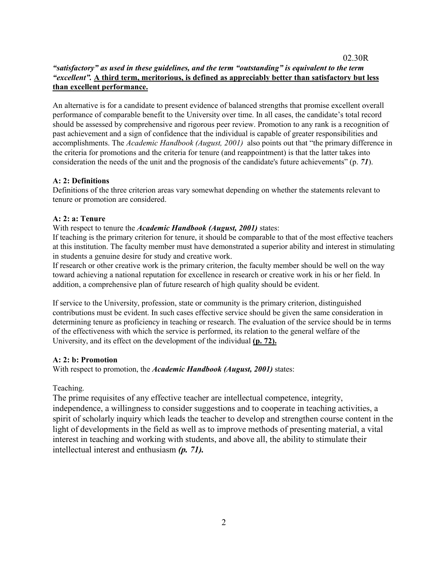# *"satisfactory" as used in these guidelines, and the term "outstanding" is equivalent to the term "excellent".* **A third term, meritorious, is defined as appreciably better than satisfactory but less than excellent performance.**

02.30R

An alternative is for a candidate to present evidence of balanced strengths that promise excellent overall performance of comparable benefit to the University over time. In all cases, the candidate's total record should be assessed by comprehensive and rigorous peer review. Promotion to any rank is a recognition of past achievement and a sign of confidence that the individual is capable of greater responsibilities and accomplishments. The *Academic Handbook (August, 2001)* also points out that "the primary difference in the criteria for promotions and the criteria for tenure (and reappointment) is that the latter takes into consideration the needs of the unit and the prognosis of the candidate's future achievements" (p. *71*).

# **A: 2: Definitions**

Definitions of the three criterion areas vary somewhat depending on whether the statements relevant to tenure or promotion are considered.

## **A: 2: a: Tenure**

### With respect to tenure the *Academic Handbook (August, 2001)* states:

If teaching is the primary criterion for tenure, it should be comparable to that of the most effective teachers at this institution. The faculty member must have demonstrated a superior ability and interest in stimulating in students a genuine desire for study and creative work.

If research or other creative work is the primary criterion, the faculty member should be well on the way toward achieving a national reputation for excellence in research or creative work in his or her field. In addition, a comprehensive plan of future research of high quality should be evident.

If service to the University, profession, state or community is the primary criterion, distinguished contributions must be evident. In such cases effective service should be given the same consideration in determining tenure as proficiency in teaching or research. The evaluation of the service should be in terms of the effectiveness with which the service is performed, its relation to the general welfare of the University, and its effect on the development of the individual **(p. 72).**

### **A: 2: b: Promotion**

With respect to promotion, the *Academic Handbook (August, 2001)* states:

Teaching.

The prime requisites of any effective teacher are intellectual competence, integrity, independence, a willingness to consider suggestions and to cooperate in teaching activities, a spirit of scholarly inquiry which leads the teacher to develop and strengthen course content in the light of developments in the field as well as to improve methods of presenting material, a vital interest in teaching and working with students, and above all, the ability to stimulate their intellectual interest and enthusiasm *(p. 71).*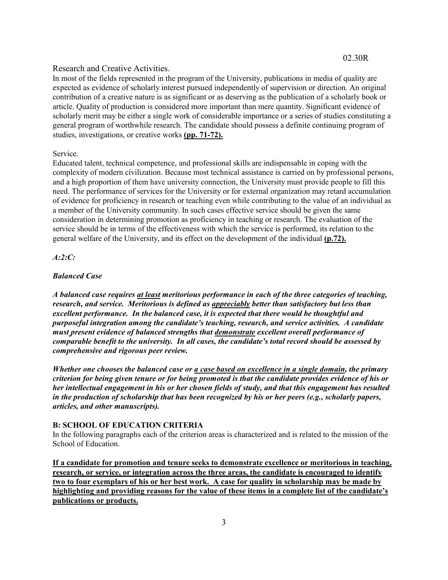# Research and Creative Activities.

In most of the fields represented in the program of the University, publications in media of quality are expected as evidence of scholarly interest pursued independently of supervision or direction. An original contribution of a creative nature is as significant or as deserving as the publication of a scholarly book or article. Quality of production is considered more important than mere quantity. Significant evidence of scholarly merit may be either a single work of considerable importance or a series of studies constituting a general program of worthwhile research. The candidate should possess a definite continuing program of studies, investigations, or creative works **(pp. 71-72).**

#### Service.

Educated talent, technical competence, and professional skills are indispensable in coping with the complexity of modern civilization. Because most technical assistance is carried on by professional persons, and a high proportion of them have university connection, the University must provide people to fill this need. The performance of services for the University or for external organization may retard accumulation of evidence for proficiency in research or teaching even while contributing to the value of an individual as a member of the University community. In such cases effective service should be given the same consideration in determining promotion as proficiency in teaching or research. The evaluation of the service should be in terms of the effectiveness with which the service is performed, its relation to the general welfare of the University, and its effect on the development of the individual **(p.72).**

### *A:2:C:*

### *Balanced Case*

*A balanced case requires at least meritorious performance in each of the three categories of teaching, research, and service. Meritorious is defined as appreciably better than satisfactory but less than excellent performance. In the balanced case, it is expected that there would be thoughtful and purposeful integration among the candidate's teaching, research, and service activities. A candidate must present evidence of balanced strengths that demonstrate excellent overall performance of comparable benefit to the university. In all cases, the candidate's total record should be assessed by comprehensive and rigorous peer review.*

*Whether one chooses the balanced case or a case based on excellence in a single domain, the primary criterion for being given tenure or for being promoted is that the candidate provides evidence of his or her intellectual engagement in his or her chosen fields of study, and that this engagement has resulted in the production of scholarship that has been recognized by his or her peers (e.g., scholarly papers, articles, and other manuscripts).*

### **B: SCHOOL OF EDUCATION CRITERIA**

In the following paragraphs each of the criterion areas is characterized and is related to the mission of the School of Education.

**If a candidate for promotion and tenure seeks to demonstrate excellence or meritorious in teaching, research, or service, or integration across the three areas, the candidate is encouraged to identify two to four exemplars of his or her best work. A case for quality in scholarship may be made by highlighting and providing reasons for the value of these items in a complete list of the candidate's publications or products.**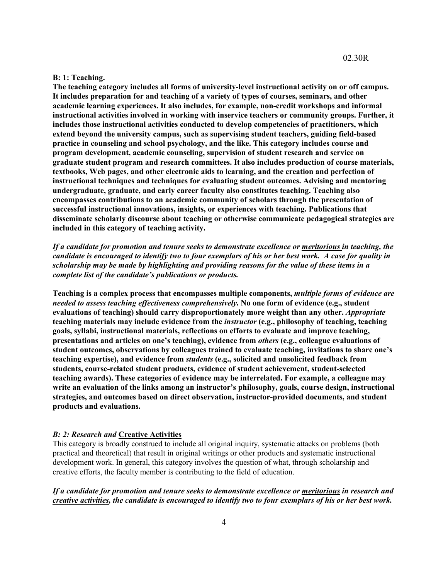#### **B: 1: Teaching.**

**The teaching category includes all forms of university-level instructional activity on or off campus. It includes preparation for and teaching of a variety of types of courses, seminars, and other academic learning experiences. It also includes, for example, non-credit workshops and informal instructional activities involved in working with inservice teachers or community groups. Further, it includes those instructional activities conducted to develop competencies of practitioners, which extend beyond the university campus, such as supervising student teachers, guiding field-based practice in counseling and school psychology, and the like. This category includes course and program development, academic counseling, supervision of student research and service on graduate student program and research committees. It also includes production of course materials, textbooks, Web pages, and other electronic aids to learning, and the creation and perfection of instructional techniques and techniques for evaluating student outcomes. Advising and mentoring undergraduate, graduate, and early career faculty also constitutes teaching. Teaching also encompasses contributions to an academic community of scholars through the presentation of successful instructional innovations, insights, or experiences with teaching. Publications that disseminate scholarly discourse about teaching or otherwise communicate pedagogical strategies are included in this category of teaching activity.**

*If a candidate for promotion and tenure seeks to demonstrate excellence or meritorious in teaching, the candidate is encouraged to identify two to four exemplars of his or her best work. A case for quality in scholarship may be made by highlighting and providing reasons for the value of these items in a complete list of the candidate's publications or products.*

**Teaching is a complex process that encompasses multiple components,** *multiple forms of evidence are needed to assess teaching effectiveness comprehensively***. No one form of evidence (e.g., student evaluations of teaching) should carry disproportionately more weight than any other.** *Appropriate*  **teaching materials may include evidence from the** *instructor* **(e.g., philosophy of teaching, teaching goals, syllabi, instructional materials, reflections on efforts to evaluate and improve teaching, presentations and articles on one's teaching), evidence from** *others* **(e.g., colleague evaluations of student outcomes, observations by colleagues trained to evaluate teaching, invitations to share one's teaching expertise), and evidence from** *students* **(e.g., solicited and unsolicited feedback from students, course-related student products, evidence of student achievement, student-selected teaching awards). These categories of evidence may be interrelated. For example, a colleague may write an evaluation of the links among an instructor's philosophy, goals, course design, instructional strategies, and outcomes based on direct observation, instructor-provided documents, and student products and evaluations.** 

#### *B: 2: Research and* **Creative Activities**

This category is broadly construed to include all original inquiry, systematic attacks on problems (both practical and theoretical) that result in original writings or other products and systematic instructional development work. In general, this category involves the question of what, through scholarship and creative efforts, the faculty member is contributing to the field of education.

*If a candidate for promotion and tenure seeks to demonstrate excellence or meritorious in research and creative activities, the candidate is encouraged to identify two to four exemplars of his or her best work.*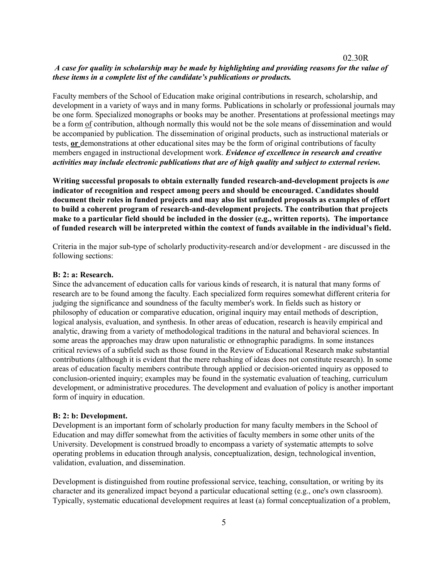# *A case for quality in scholarship may be made by highlighting and providing reasons for the value of these items in a complete list of the candidate's publications or products.*

02.30R

Faculty members of the School of Education make original contributions in research, scholarship, and development in a variety of ways and in many forms. Publications in scholarly or professional journals may be one form. Specialized monographs or books may be another. Presentations at professional meetings may be a form of contribution, although normally this would not be the sole means of dissemination and would be accompanied by publication. The dissemination of original products, such as instructional materials or tests, **or** demonstrations at other educational sites may be the form of original contributions of faculty members engaged in instructional development work. *Evidence of excellence in research and creative activities may include electronic publications that are of high quality and subject to external review.* 

**Writing successful proposals to obtain externally funded research-and-development projects is** *one* **indicator of recognition and respect among peers and should be encouraged. Candidates should document their roles in funded projects and may also list unfunded proposals as examples of effort to build a coherent program of research-and-development projects. The contribution that projects make to a particular field should be included in the dossier (e.g., written reports). The importance of funded research will be interpreted within the context of funds available in the individual's field.** 

Criteria in the major sub-type of scholarly productivity-research and/or development - are discussed in the following sections:

### **B: 2: a: Research.**

Since the advancement of education calls for various kinds of research, it is natural that many forms of research are to be found among the faculty. Each specialized form requires somewhat different criteria for judging the significance and soundness of the faculty member's work. In fields such as history or philosophy of education or comparative education, original inquiry may entail methods of description, logical analysis, evaluation, and synthesis. In other areas of education, research is heavily empirical and analytic, drawing from a variety of methodological traditions in the natural and behavioral sciences. In some areas the approaches may draw upon naturalistic or ethnographic paradigms. In some instances critical reviews of a subfield such as those found in the Review of Educational Research make substantial contributions (although it is evident that the mere rehashing of ideas does not constitute research). In some areas of education faculty members contribute through applied or decision-oriented inquiry as opposed to conclusion-oriented inquiry; examples may be found in the systematic evaluation of teaching, curriculum development, or administrative procedures. The development and evaluation of policy is another important form of inquiry in education.

#### **B: 2: b: Development.**

Development is an important form of scholarly production for many faculty members in the School of Education and may differ somewhat from the activities of faculty members in some other units of the University. Development is construed broadly to encompass a variety of systematic attempts to solve operating problems in education through analysis, conceptualization, design, technological invention, validation, evaluation, and dissemination.

Development is distinguished from routine professional service, teaching, consultation, or writing by its character and its generalized impact beyond a particular educational setting (e.g., one's own classroom). Typically, systematic educational development requires at least (a) formal conceptualization of a problem,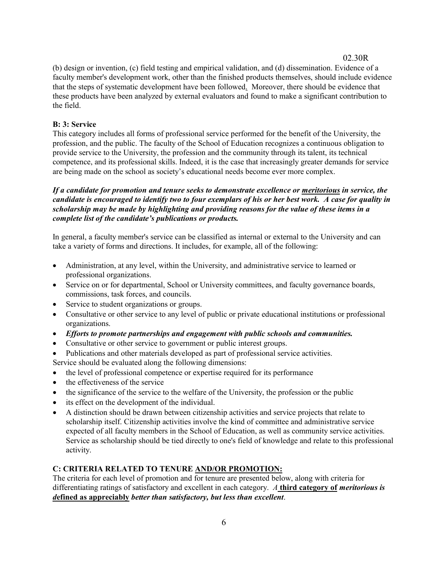(b) design or invention, (c) field testing and empirical validation, and (d) dissemination. Evidence of a faculty member's development work, other than the finished products themselves, should include evidence that the steps of systematic development have been followed. Moreover, there should be evidence that these products have been analyzed by external evaluators and found to make a significant contribution to the field.

# **B: 3: Service**

This category includes all forms of professional service performed for the benefit of the University, the profession, and the public. The faculty of the School of Education recognizes a continuous obligation to provide service to the University, the profession and the community through its talent, its technical competence, and its professional skills. Indeed, it is the case that increasingly greater demands for service are being made on the school as society's educational needs become ever more complex.

# *If a candidate for promotion and tenure seeks to demonstrate excellence or meritorious in service, the candidate is encouraged to identify two to four exemplars of his or her best work. A case for quality in scholarship may be made by highlighting and providing reasons for the value of these items in a complete list of the candidate's publications or products.*

In general, a faculty member's service can be classified as internal or external to the University and can take a variety of forms and directions. It includes, for example, all of the following:

- Administration, at any level, within the University, and administrative service to learned or professional organizations.
- Service on or for departmental, School or University committees, and faculty governance boards, commissions, task forces, and councils.
- Service to student organizations or groups.
- Consultative or other service to any level of public or private educational institutions or professional organizations.
- *Efforts to promote partnerships and engagement with public schools and communities.*
- Consultative or other service to government or public interest groups.
- Publications and other materials developed as part of professional service activities.
- Service should be evaluated along the following dimensions:
- the level of professional competence or expertise required for its performance
- the effectiveness of the service
- the significance of the service to the welfare of the University, the profession or the public
- its effect on the development of the individual.
- A distinction should be drawn between citizenship activities and service projects that relate to scholarship itself. Citizenship activities involve the kind of committee and administrative service expected of all faculty members in the School of Education, as well as community service activities. Service as scholarship should be tied directly to one's field of knowledge and relate to this professional activity.

# **C: CRITERIA RELATED TO TENURE AND/OR PROMOTION:**

The criteria for each level of promotion and for tenure are presented below, along with criteria for differentiating ratings of satisfactory and excellent in each category. *A* **third category of** *meritorious is d***efined as appreciably** *better than satisfactory, but less than excellent*.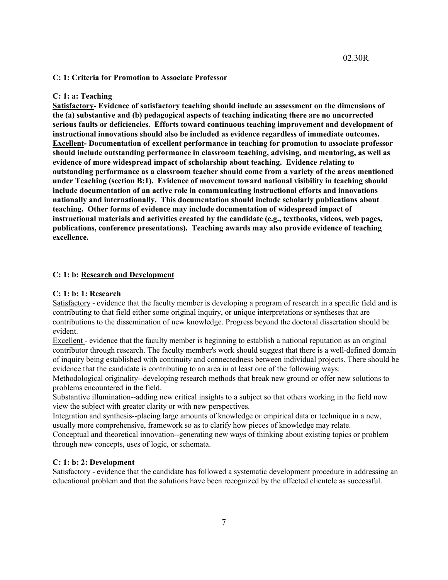#### **C: 1: Criteria for Promotion to Associate Professor**

### **C: 1: a: Teaching**

**Satisfactory- Evidence of satisfactory teaching should include an assessment on the dimensions of the (a) substantive and (b) pedagogical aspects of teaching indicating there are no uncorrected serious faults or deficiencies. Efforts toward continuous teaching improvement and development of instructional innovations should also be included as evidence regardless of immediate outcomes. Excellent- Documentation of excellent performance in teaching for promotion to associate professor should include outstanding performance in classroom teaching, advising, and mentoring, as well as evidence of more widespread impact of scholarship about teaching. Evidence relating to outstanding performance as a classroom teacher should come from a variety of the areas mentioned under Teaching (section B:1). Evidence of movement toward national visibility in teaching should include documentation of an active role in communicating instructional efforts and innovations nationally and internationally. This documentation should include scholarly publications about teaching. Other forms of evidence may include documentation of widespread impact of instructional materials and activities created by the candidate (e.g., textbooks, videos, web pages, publications, conference presentations). Teaching awards may also provide evidence of teaching excellence.**

#### **C: 1: b: Research and Development**

#### **C: 1: b: 1: Research**

Satisfactory - evidence that the faculty member is developing a program of research in a specific field and is contributing to that field either some original inquiry, or unique interpretations or syntheses that are contributions to the dissemination of new knowledge. Progress beyond the doctoral dissertation should be evident.

Excellent - evidence that the faculty member is beginning to establish a national reputation as an original contributor through research. The faculty member's work should suggest that there is a well-defined domain of inquiry being established with continuity and connectedness between individual projects. There should be evidence that the candidate is contributing to an area in at least one of the following ways:

Methodological originality--developing research methods that break new ground or offer new solutions to problems encountered in the field.

Substantive illumination--adding new critical insights to a subject so that others working in the field now view the subject with greater clarity or with new perspectives.

Integration and synthesis--placing large amounts of knowledge or empirical data or technique in a new, usually more comprehensive, framework so as to clarify how pieces of knowledge may relate.

Conceptual and theoretical innovation--generating new ways of thinking about existing topics or problem through new concepts, uses of logic, or schemata.

#### **C: 1: b: 2: Development**

Satisfactory - evidence that the candidate has followed a systematic development procedure in addressing an educational problem and that the solutions have been recognized by the affected clientele as successful.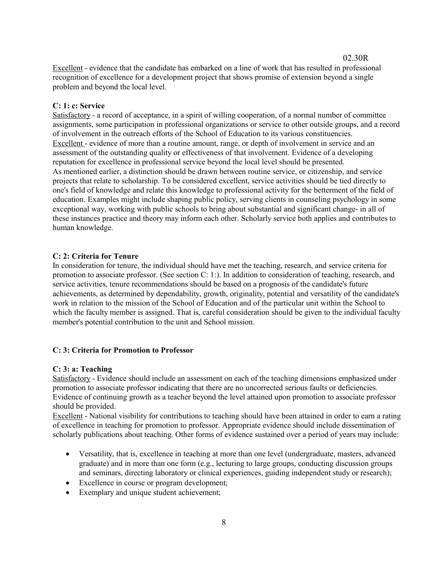Excellent - evidence that the candidate has embarked on a line of work that has resulted in professional recognition of excellence for a development project that shows promise of extension beyond a single problem and beyond the local level.

### **C: 1: c: Service**

Satisfactory - a record of acceptance, in a spirit of willing cooperation, of a normal number of committee assignments, some participation in professional organizations or service to other outside groups, and a record of involvement in the outreach efforts of the School of Education to its various constituencies. Excellent - evidence of more than a routine amount, range, or depth of involvement in service and an assessment of the outstanding quality or effectiveness of that involvement. Evidence of a developing reputation for excellence in professional service beyond the local level should be presented. As mentioned earlier, a distinction should be drawn between routine service, or citizenship, and service projects that relate to scholarship. To be considered excellent, service activities should be tied directly to one's field of knowledge and relate this knowledge to professional activity for the betterment of the field of education. Examples might include shaping public policy, serving clients in counseling psychology in some exceptional way, working with public schools to bring about substantial and significant change- in all of these instances practice and theory may inform each other. Scholarly service both applies and contributes to human knowledge.

### **C: 2: Criteria for Tenure**

In consideration for tenure, the individual should have met the teaching, research, and service criteria for promotion to associate professor. (See section C: 1:). In addition to consideration of teaching, research, and service activities, tenure recommendations should be based on a prognosis of the candidate's future achievements, as determined by dependability, growth, originality, potential and versatility of the candidate's work in relation to the mission of the School of Education and of the particular unit within the School to which the faculty member is assigned. That is, careful consideration should be given to the individual faculty member's potential contribution to the unit and School mission.

### **C: 3: Criteria for Promotion to Professor**

### **C: 3: a: Teaching**

Satisfactory - Evidence should include an assessment on each of the teaching dimensions emphasized under promotion to associate professor indicating that there are no uncorrected serious faults or deficiencies. Evidence of continuing growth as a teacher beyond the level attained upon promotion to associate professor should be provided.

Excellent - National visibility for contributions to teaching should have been attained in order to earn a rating of excellence in teaching for promotion to professor. Appropriate evidence should include dissemination of scholarly publications about teaching. Other forms of evidence sustained over a period of years may include:

- Versatility, that is, excellence in teaching at more than one level (undergraduate, masters, advanced graduate) and in more than one form (e.g., lecturing to large groups, conducting discussion groups and seminars, directing laboratory or clinical experiences, guiding independent study or research);
- Excellence in course or program development;
- Exemplary and unique student achievement: